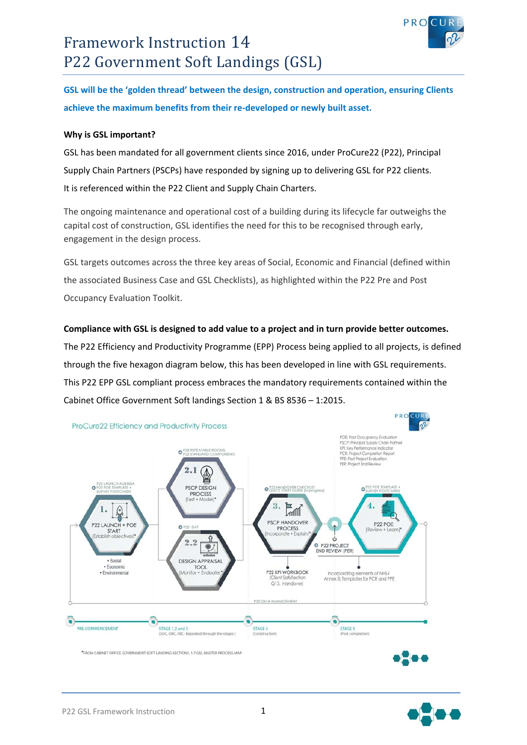



**GSL will be the 'golden thread' between the design, construction and operation, ensuring Clients achieve the maximum benefits from their re‐developed or newly built asset.** 

# **Why is GSL important?**

GSL has been mandated for all government clients since 2016, under ProCure22 (P22), Principal Supply Chain Partners (PSCPs) have responded by signing up to delivering GSL for P22 clients. It is referenced within the P22 Client and Supply Chain Charters.

The ongoing maintenance and operational cost of a building during its lifecycle far outweighs the capital cost of construction, GSL identifies the need for this to be recognised through early, engagement in the design process.

GSL targets outcomes across the three key areas of Social, Economic and Financial (defined within the associated Business Case and GSL Checklists), as highlighted within the P22 Pre and Post Occupancy Evaluation Toolkit.

# **Compliance with GSL is designed to add value to a project and in turn provide better outcomes.**

The P22 Efficiency and Productivity Programme (EPP) Process being applied to all projects, is defined through the five hexagon diagram below, this has been developed in line with GSL requirements. This P22 EPP GSL compliant process embraces the mandatory requirements contained within the Cabinet Office Government Soft landings Section 1 & BS 8536 – 1:2015.